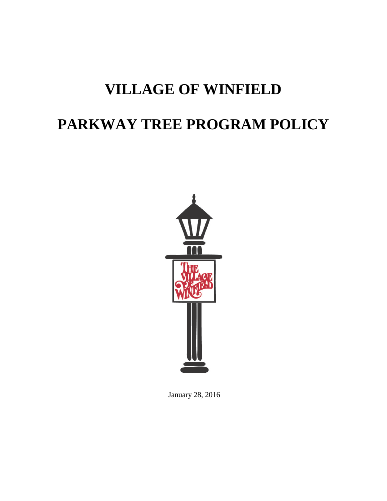## **VILLAGE OF WINFIELD**

# **PARKWAY TREE PROGRAM POLICY**



January 28, 2016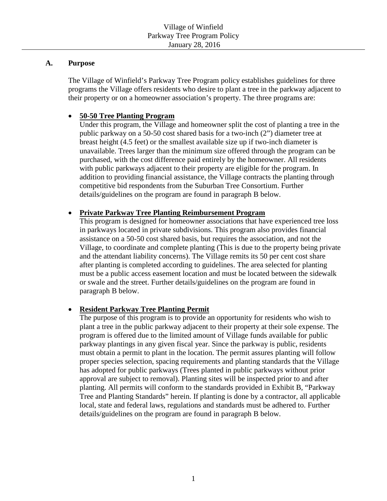#### **A. Purpose**

The Village of Winfield's Parkway Tree Program policy establishes guidelines for three programs the Village offers residents who desire to plant a tree in the parkway adjacent to their property or on a homeowner association's property. The three programs are:

## • **50-50 Tree Planting Program**

Under this program, the Village and homeowner split the cost of planting a tree in the public parkway on a 50-50 cost shared basis for a two-inch (2") diameter tree at breast height (4.5 feet) or the smallest available size up if two-inch diameter is unavailable. Trees larger than the minimum size offered through the program can be purchased, with the cost difference paid entirely by the homeowner. All residents with public parkways adjacent to their property are eligible for the program. In addition to providing financial assistance, the Village contracts the planting through competitive bid respondents from the Suburban Tree Consortium. Further details/guidelines on the program are found in paragraph B below.

## • **Private Parkway Tree Planting Reimbursement Program**

This program is designed for homeowner associations that have experienced tree loss in parkways located in private subdivisions. This program also provides financial assistance on a 50-50 cost shared basis, but requires the association, and not the Village, to coordinate and complete planting (This is due to the property being private and the attendant liability concerns). The Village remits its 50 per cent cost share after planting is completed according to guidelines. The area selected for planting must be a public access easement location and must be located between the sidewalk or swale and the street. Further details/guidelines on the program are found in paragraph B below.

## • **Resident Parkway Tree Planting Permit**

The purpose of this program is to provide an opportunity for residents who wish to plant a tree in the public parkway adjacent to their property at their sole expense. The program is offered due to the limited amount of Village funds available for public parkway plantings in any given fiscal year. Since the parkway is public, residents must obtain a permit to plant in the location. The permit assures planting will follow proper species selection, spacing requirements and planting standards that the Village has adopted for public parkways (Trees planted in public parkways without prior approval are subject to removal). Planting sites will be inspected prior to and after planting. All permits will conform to the standards provided in Exhibit B, "Parkway Tree and Planting Standards" herein. If planting is done by a contractor, all applicable local, state and federal laws, regulations and standards must be adhered to. Further details/guidelines on the program are found in paragraph B below.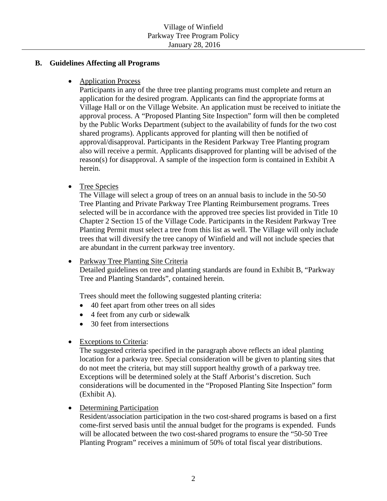#### **B. Guidelines Affecting all Programs**

• Application Process

Participants in any of the three tree planting programs must complete and return an application for the desired program. Applicants can find the appropriate forms at Village Hall or on the Village Website. An application must be received to initiate the approval process. A "Proposed Planting Site Inspection" form will then be completed by the Public Works Department (subject to the availability of funds for the two cost shared programs). Applicants approved for planting will then be notified of approval/disapproval. Participants in the Resident Parkway Tree Planting program also will receive a permit. Applicants disapproved for planting will be advised of the reason(s) for disapproval. A sample of the inspection form is contained in Exhibit A herein.

• Tree Species

The Village will select a group of trees on an annual basis to include in the 50-50 Tree Planting and Private Parkway Tree Planting Reimbursement programs. Trees selected will be in accordance with the approved tree species list provided in Title 10 Chapter 2 Section 15 of the Village Code. Participants in the Resident Parkway Tree Planting Permit must select a tree from this list as well. The Village will only include trees that will diversify the tree canopy of Winfield and will not include species that are abundant in the current parkway tree inventory.

• Parkway Tree Planting Site Criteria

Detailed guidelines on tree and planting standards are found in Exhibit B, "Parkway Tree and Planting Standards", contained herein.

Trees should meet the following suggested planting criteria:

- 40 feet apart from other trees on all sides
- 4 feet from any curb or sidewalk
- 30 feet from intersections
- Exceptions to Criteria:

The suggested criteria specified in the paragraph above reflects an ideal planting location for a parkway tree. Special consideration will be given to planting sites that do not meet the criteria, but may still support healthy growth of a parkway tree. Exceptions will be determined solely at the Staff Arborist's discretion. Such considerations will be documented in the "Proposed Planting Site Inspection" form (Exhibit A).

• Determining Participation

Resident/association participation in the two cost-shared programs is based on a first come-first served basis until the annual budget for the programs is expended. Funds will be allocated between the two cost-shared programs to ensure the "50-50 Tree Planting Program" receives a minimum of 50% of total fiscal year distributions.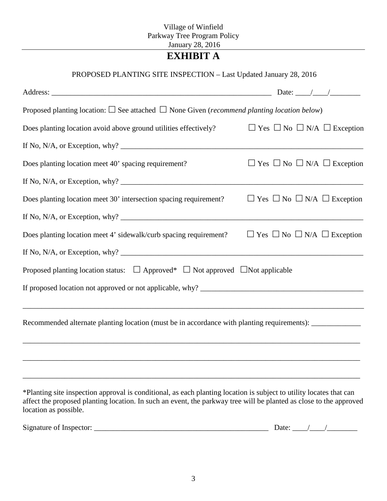## Village of Winfield Parkway Tree Program Policy January 28, 2016

## **EXHIBIT A**

## PROPOSED PLANTING SITE INSPECTION – Last Updated January 28, 2016

| Proposed planting location: $\square$ See attached $\square$ None Given (recommend planting location below)                                                                                                                                                                            |                                                  |
|----------------------------------------------------------------------------------------------------------------------------------------------------------------------------------------------------------------------------------------------------------------------------------------|--------------------------------------------------|
| Does planting location avoid above ground utilities effectively?                                                                                                                                                                                                                       | $\Box$ Yes $\Box$ No $\Box$ N/A $\Box$ Exception |
|                                                                                                                                                                                                                                                                                        |                                                  |
| Does planting location meet 40' spacing requirement?                                                                                                                                                                                                                                   | $\Box$ Yes $\Box$ No $\Box$ N/A $\Box$ Exception |
|                                                                                                                                                                                                                                                                                        |                                                  |
| Does planting location meet 30' intersection spacing requirement?                                                                                                                                                                                                                      | $\Box$ Yes $\Box$ No $\Box$ N/A $\Box$ Exception |
| If No, N/A, or Exception, why? $\frac{1}{2}$ and $\frac{1}{2}$ are $\frac{1}{2}$ and $\frac{1}{2}$ are $\frac{1}{2}$ and $\frac{1}{2}$ are $\frac{1}{2}$ and $\frac{1}{2}$ are $\frac{1}{2}$ and $\frac{1}{2}$ are $\frac{1}{2}$ and $\frac{1}{2}$ are $\frac{1}{2}$ and $\frac{1}{2}$ |                                                  |
| Does planting location meet 4' sidewalk/curb spacing requirement?                                                                                                                                                                                                                      | $\Box$ Yes $\Box$ No $\Box$ N/A $\Box$ Exception |
| If No, N/A, or Exception, why? $\frac{1}{2}$ and $\frac{1}{2}$ are $\frac{1}{2}$ and $\frac{1}{2}$ are $\frac{1}{2}$ and $\frac{1}{2}$ are $\frac{1}{2}$ and $\frac{1}{2}$ are $\frac{1}{2}$ are $\frac{1}{2}$ and $\frac{1}{2}$ are $\frac{1}{2}$ and $\frac{1}{2}$ are $\frac{1}{2}$ |                                                  |
| Proposed planting location status: $\Box$ Approved* $\Box$ Not approved $\Box$ Not applicable                                                                                                                                                                                          |                                                  |
|                                                                                                                                                                                                                                                                                        |                                                  |
| Recommended alternate planting location (must be in accordance with planting requirements): ______________                                                                                                                                                                             |                                                  |
| *Planting site inspection approval is conditional, as each planting location is subject to utility locates that can                                                                                                                                                                    |                                                  |

affect the proposed planting location. In such an event, the parkway tree will be planted as close to the approved location as possible.

| $\sim$<br>Sign<br>- - -<br>√neetor:<br>mature<br>$\Omega$<br>่ อมพพม | Jate |  |
|----------------------------------------------------------------------|------|--|
|                                                                      |      |  |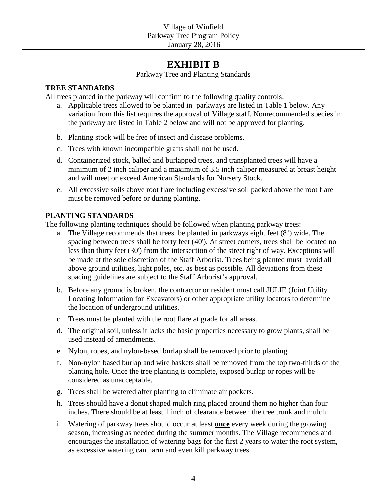## **EXHIBIT B**

Parkway Tree and Planting Standards

## **TREE STANDARDS**

All trees planted in the parkway will confirm to the following quality controls:

- a. Applicable trees allowed to be planted in parkways are listed in Table 1 below. Any variation from this list requires the approval of Village staff. Nonrecommended species in the parkway are listed in Table 2 below and will not be approved for planting.
- b. Planting stock will be free of insect and disease problems.
- c. Trees with known incompatible grafts shall not be used.
- d. Containerized stock, balled and burlapped trees, and transplanted trees will have a minimum of 2 inch caliper and a maximum of 3.5 inch caliper measured at breast height and will meet or exceed American Standards for Nursery Stock.
- e. All excessive soils above root flare including excessive soil packed above the root flare must be removed before or during planting.

## **PLANTING STANDARDS**

The following planting techniques should be followed when planting parkway trees:

- a. The Village recommends that trees be planted in parkways eight feet (8') wide. The spacing between trees shall be forty feet (40'). At street corners, trees shall be located no less than thirty feet (30') from the intersection of the street right of way. Exceptions will be made at the sole discretion of the Staff Arborist. Trees being planted must avoid all above ground utilities, light poles, etc. as best as possible. All deviations from these spacing guidelines are subject to the Staff Arborist's approval.
- b. Before any ground is broken, the contractor or resident must call JULIE (Joint Utility Locating Information for Excavators) or other appropriate utility locators to determine the location of underground utilities.
- c. Trees must be planted with the root flare at grade for all areas.
- d. The original soil, unless it lacks the basic properties necessary to grow plants, shall be used instead of amendments.
- e. Nylon, ropes, and nylon-based burlap shall be removed prior to planting.
- f. Non-nylon based burlap and wire baskets shall be removed from the top two-thirds of the planting hole. Once the tree planting is complete, exposed burlap or ropes will be considered as unacceptable.
- g. Trees shall be watered after planting to eliminate air pockets.
- h. Trees should have a donut shaped mulch ring placed around them no higher than four inches. There should be at least 1 inch of clearance between the tree trunk and mulch.
- i. Watering of parkway trees should occur at least **once** every week during the growing season, increasing as needed during the summer months. The Village recommends and encourages the installation of watering bags for the first 2 years to water the root system, as excessive watering can harm and even kill parkway trees.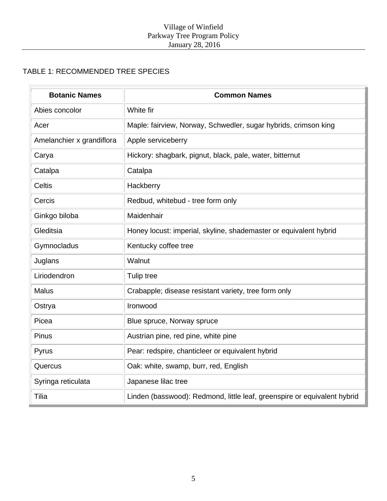## TABLE 1: RECOMMENDED TREE SPECIES

| <b>Botanic Names</b>      | <b>Common Names</b>                                                      |
|---------------------------|--------------------------------------------------------------------------|
| Abies concolor            | White fir                                                                |
| Acer                      | Maple: fairview, Norway, Schwedler, sugar hybrids, crimson king          |
| Amelanchier x grandiflora | Apple serviceberry                                                       |
| Carya                     | Hickory: shagbark, pignut, black, pale, water, bitternut                 |
| Catalpa                   | Catalpa                                                                  |
| <b>Celtis</b>             | Hackberry                                                                |
| Cercis                    | Redbud, whitebud - tree form only                                        |
| Ginkgo biloba             | Maidenhair                                                               |
| Gleditsia                 | Honey locust: imperial, skyline, shademaster or equivalent hybrid        |
| Gymnocladus               | Kentucky coffee tree                                                     |
| Juglans                   | Walnut                                                                   |
| Liriodendron              | Tulip tree                                                               |
| <b>Malus</b>              | Crabapple; disease resistant variety, tree form only                     |
| Ostrya                    | Ironwood                                                                 |
| Picea                     | Blue spruce, Norway spruce                                               |
| Pinus                     | Austrian pine, red pine, white pine                                      |
| Pyrus                     | Pear: redspire, chanticleer or equivalent hybrid                         |
| Quercus                   | Oak: white, swamp, burr, red, English                                    |
| Syringa reticulata        | Japanese lilac tree                                                      |
| Tilia                     | Linden (basswood): Redmond, little leaf, greenspire or equivalent hybrid |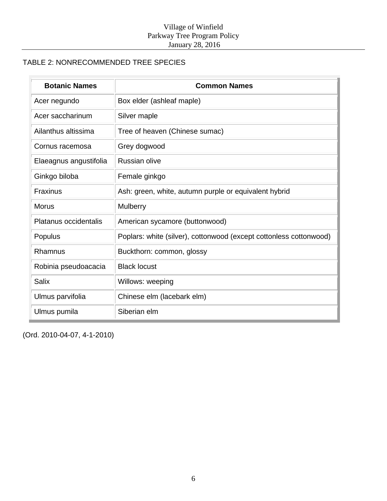## TABLE 2: NONRECOMMENDED TREE SPECIES

| <b>Botanic Names</b>   | <b>Common Names</b>                                                |
|------------------------|--------------------------------------------------------------------|
| Acer negundo           | Box elder (ashleaf maple)                                          |
| Acer saccharinum       | Silver maple                                                       |
| Ailanthus altissima    | Tree of heaven (Chinese sumac)                                     |
| Cornus racemosa        | Grey dogwood                                                       |
| Elaeagnus angustifolia | Russian olive                                                      |
| Ginkgo biloba          | Female ginkgo                                                      |
| <b>Fraxinus</b>        | Ash: green, white, autumn purple or equivalent hybrid              |
| <b>Morus</b>           | Mulberry                                                           |
| Platanus occidentalis  | American sycamore (buttonwood)                                     |
| Populus                | Poplars: white (silver), cottonwood (except cottonless cottonwood) |
| Rhamnus                | Buckthorn: common, glossy                                          |
| Robinia pseudoacacia   | <b>Black locust</b>                                                |
| <b>Salix</b>           | Willows: weeping                                                   |
| Ulmus parvifolia       | Chinese elm (lacebark elm)                                         |
| Ulmus pumila           | Siberian elm                                                       |

(Ord. 2010-04-07, 4-1-2010)